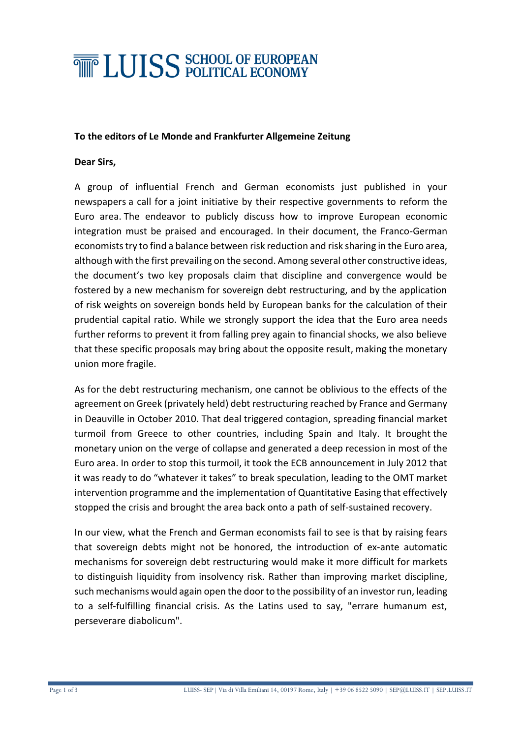# **THE LUISS SCHOOL OF EUROPEAN**

### **To the editors of Le Monde and Frankfurter Allgemeine Zeitung**

### **Dear Sirs,**

A group of influential French and German economists just published in your newspapers a call for a joint initiative by their respective governments to reform the Euro area. The endeavor to publicly discuss how to improve European economic integration must be praised and encouraged. In their document, the Franco-German economists try to find a balance between risk reduction and risk sharing in the Euro area, although with the first prevailing on the second. Among several other constructive ideas, the document's two key proposals claim that discipline and convergence would be fostered by a new mechanism for sovereign debt restructuring, and by the application of risk weights on sovereign bonds held by European banks for the calculation of their prudential capital ratio. While we strongly support the idea that the Euro area needs further reforms to prevent it from falling prey again to financial shocks, we also believe that these specific proposals may bring about the opposite result, making the monetary union more fragile.

As for the debt restructuring mechanism, one cannot be oblivious to the effects of the agreement on Greek (privately held) debt restructuring reached by France and Germany in Deauville in October 2010. That deal triggered contagion, spreading financial market turmoil from Greece to other countries, including Spain and Italy. It brought the monetary union on the verge of collapse and generated a deep recession in most of the Euro area. In order to stop this turmoil, it took the ECB announcement in July 2012 that it was ready to do "whatever it takes" to break speculation, leading to the OMT market intervention programme and the implementation of Quantitative Easing that effectively stopped the crisis and brought the area back onto a path of self-sustained recovery.

In our view, what the French and German economists fail to see is that by raising fears that sovereign debts might not be honored, the introduction of ex-ante automatic mechanisms for sovereign debt restructuring would make it more difficult for markets to distinguish liquidity from insolvency risk. Rather than improving market discipline, such mechanisms would again open the door to the possibility of an investor run, leading to a self-fulfilling financial crisis. As the Latins used to say, "errare humanum est, perseverare diabolicum".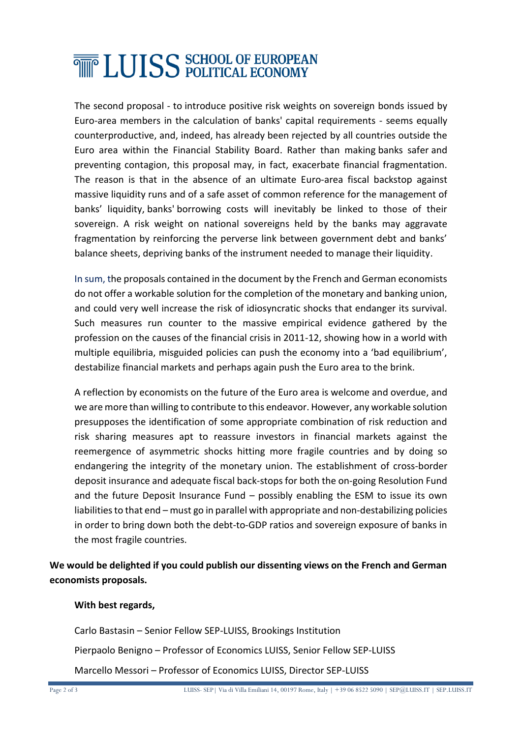# **THE LUISS SCHOOL OF EUROPEAN**

The second proposal - to introduce positive risk weights on sovereign bonds issued by Euro-area members in the calculation of banks' capital requirements - seems equally counterproductive, and, indeed, has already been rejected by all countries outside the Euro area within the Financial Stability Board. Rather than making banks safer and preventing contagion, this proposal may, in fact, exacerbate financial fragmentation. The reason is that in the absence of an ultimate Euro-area fiscal backstop against massive liquidity runs and of a safe asset of common reference for the management of banks' liquidity, banks' borrowing costs will inevitably be linked to those of their sovereign. A risk weight on national sovereigns held by the banks may aggravate fragmentation by reinforcing the perverse link between government debt and banks' balance sheets, depriving banks of the instrument needed to manage their liquidity.

In sum, the proposals contained in the document by the French and German economists do not offer a workable solution for the completion of the monetary and banking union, and could very well increase the risk of idiosyncratic shocks that endanger its survival. Such measures run counter to the massive empirical evidence gathered by the profession on the causes of the financial crisis in 2011-12, showing how in a world with multiple equilibria, misguided policies can push the economy into a 'bad equilibrium', destabilize financial markets and perhaps again push the Euro area to the brink.

A reflection by economists on the future of the Euro area is welcome and overdue, and we are more than willing to contribute to this endeavor. However, any workable solution presupposes the identification of some appropriate combination of risk reduction and risk sharing measures apt to reassure investors in financial markets against the reemergence of asymmetric shocks hitting more fragile countries and by doing so endangering the integrity of the monetary union. The establishment of cross-border deposit insurance and adequate fiscal back-stops for both the on-going Resolution Fund and the future Deposit Insurance Fund – possibly enabling the ESM to issue its own liabilities to that end – must go in parallel with appropriate and non-destabilizing policies in order to bring down both the debt-to-GDP ratios and sovereign exposure of banks in the most fragile countries.

**We would be delighted if you could publish our dissenting views on the French and German economists proposals.** 

#### **With best regards,**

Carlo Bastasin – Senior Fellow SEP-LUISS, Brookings Institution

Pierpaolo Benigno – Professor of Economics LUISS, Senior Fellow SEP-LUISS

Marcello Messori – Professor of Economics LUISS, Director SEP-LUISS